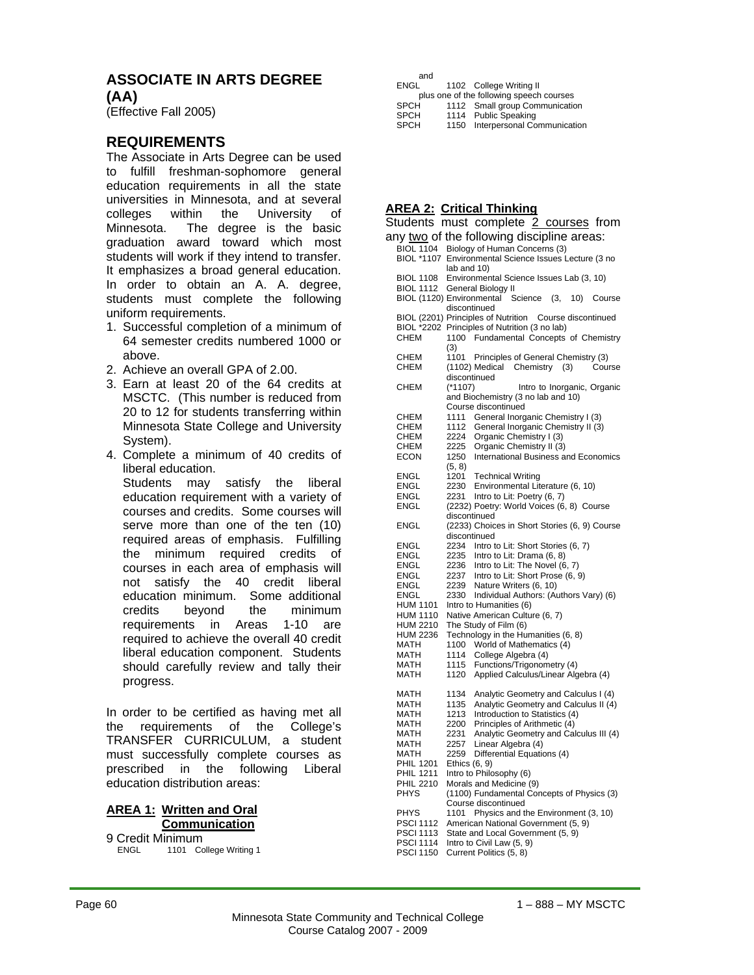## **ASSOCIATE IN ARTS DEGREE (AA)**

(Effective Fall 2005)

## **REQUIREMENTS**

The Associate in Arts Degree can be used to fulfill freshman-sophomore general education requirements in all the state universities in Minnesota, and at several colleges within the University of Minnesota. The degree is the basic graduation award toward which most students will work if they intend to transfer. It emphasizes a broad general education. In order to obtain an A. A. degree, students must complete the following uniform requirements.

- 1. Successful completion of a minimum of 64 semester credits numbered 1000 or above.
- 2. Achieve an overall GPA of 2.00.
- 3. Earn at least 20 of the 64 credits at MSCTC. (This number is reduced from 20 to 12 for students transferring within Minnesota State College and University System).
- 4. Complete a minimum of 40 credits of liberal education.

 Students may satisfy the liberal education requirement with a variety of courses and credits. Some courses will serve more than one of the ten (10) required areas of emphasis. Fulfilling the minimum required credits of courses in each area of emphasis will not satisfy the 40 credit liberal education minimum. Some additional credits beyond the minimum requirements in Areas 1-10 are required to achieve the overall 40 credit liberal education component. Students should carefully review and tally their progress.

In order to be certified as having met all the requirements of the College's TRANSFER CURRICULUM, a student must successfully complete courses as prescribed in the following Liberal education distribution areas:

| <b>AREA 1: Written and Oral</b> |
|---------------------------------|
| Communication                   |

9 Credit Minimum 1101 College Writing 1

| and                                      |      |                                |  |  |  |
|------------------------------------------|------|--------------------------------|--|--|--|
| ENGL                                     |      | 1102 College Writing II        |  |  |  |
| plus one of the following speech courses |      |                                |  |  |  |
| <b>SPCH</b>                              |      | 1112 Small group Communication |  |  |  |
| <b>SPCH</b>                              |      | 1114 Public Speaking           |  |  |  |
| <b>SPCH</b>                              | 1150 | Interpersonal Communication    |  |  |  |
|                                          |      |                                |  |  |  |

### **AREA 2: Critical Thinking**

|                                      | Students must complete 2 courses from                                                   |
|--------------------------------------|-----------------------------------------------------------------------------------------|
|                                      | any two of the following discipline areas:                                              |
| <b>BIOL 1104</b><br>BIOL *1107       | Biology of Human Concerns (3)<br>Environmental Science Issues Lecture (3 no             |
|                                      | lab and 10)                                                                             |
| <b>BIOL 1108</b><br>BIOL 1112        | Environmental Science Issues Lab (3, 10)<br>General Biology II                          |
|                                      | BIOL (1120) Environmental<br>Science<br>(3,<br>10)<br>Course                            |
|                                      | discontinued                                                                            |
|                                      | BIOL (2201) Principles of Nutrition Course discontinued                                 |
| <b>CHEM</b>                          | BIOL *2202 Principles of Nutrition (3 no lab)<br>1100 Fundamental Concepts of Chemistry |
|                                      | (3)                                                                                     |
| <b>CHEM</b>                          | 1101<br>Principles of General Chemistry (3)                                             |
| CHEM                                 | Chemistry (3)<br>(1102) Medical<br>Course<br>discontinued                               |
| CHEM                                 | Intro to Inorganic, Organic<br>(*1107)                                                  |
|                                      | and Biochemistry (3 no lab and 10)                                                      |
| CHEM                                 | Course discontinued<br>1111                                                             |
| CHEM                                 | General Inorganic Chemistry I (3)<br>1112<br>General Inorganic Chemistry II (3)         |
| CHEM                                 | 2224<br>Organic Chemistry I (3)                                                         |
| CHEM                                 | 2225<br>Organic Chemistry II (3)                                                        |
| ECON                                 | International Business and Economics<br>1250<br>(5, 8)                                  |
| ENGL                                 | 1201<br><b>Technical Writing</b>                                                        |
| ENGL                                 | 2230<br>Environmental Literature (6, 10)                                                |
| <b>ENGL</b><br>ENGL                  | 2231<br>Intro to Lit: Poetry (6, 7)<br>(2232) Poetry: World Voices (6, 8) Course        |
|                                      | discontinued                                                                            |
| ENGL                                 | (2233) Choices in Short Stories (6, 9) Course                                           |
|                                      | discontinued                                                                            |
| ENGL<br>ENGL                         | 2234 Intro to Lit: Short Stories (6, 7)<br>Intro to Lit: Drama (6, 8)<br>2235           |
| <b>ENGL</b>                          | 2236 Intro to Lit: The Novel (6, 7)                                                     |
| ENGL                                 | 2237 Intro to Lit: Short Prose (6, 9)                                                   |
| ENGL<br><b>ENGL</b>                  | 2239 Nature Writers (6, 10)<br>2330 Individual Authors: (Authors Vary) (6)              |
| <b>HUM 1101</b>                      | Intro to Humanities (6)                                                                 |
| <b>HUM 1110</b>                      | Native American Culture (6, 7)                                                          |
| HUM 2210                             | The Study of Film (6)                                                                   |
| <b>HUM 2236</b><br>MATH              | Technology in the Humanities (6, 8)<br>World of Mathematics (4)<br>1100                 |
| MATH                                 | 1114<br>College Algebra (4)                                                             |
| MATH                                 | 1115<br>Functions/Trigonometry (4)                                                      |
| MATH                                 | 1120<br>Applied Calculus/Linear Algebra (4)                                             |
| MATH                                 | 1134<br>Analytic Geometry and Calculus I (4)                                            |
| MATH                                 | 1135<br>Analytic Geometry and Calculus II (4)                                           |
| MATH<br>MATH                         | 1213<br>Introduction to Statistics (4)<br>2200                                          |
| MATH                                 | Principles of Arithmetic (4)<br>2231<br>Analytic Geometry and Calculus III (4)          |
| MATH                                 | 2257<br>Linear Algebra (4)                                                              |
| MATH                                 | Differential Equations (4)<br>2259                                                      |
| <b>PHIL 1201</b><br><b>PHIL 1211</b> | Ethics $(6, 9)$<br>Intro to Philosophy (6)                                              |
| <b>PHIL 2210</b>                     | Morals and Medicine (9)                                                                 |
| <b>PHYS</b>                          | (1100) Fundamental Concepts of Physics (3)                                              |
| <b>PHYS</b>                          | Course discontinued<br>Physics and the Environment (3, 10)<br>1101                      |
| <b>PSCI 1112</b>                     | American National Government (5, 9)                                                     |
| <b>PSCI 1113</b>                     | State and Local Government (5, 9)                                                       |
| <b>PSCI 1114</b>                     | Intro to Civil Law (5, 9)                                                               |
| <b>PSCI 1150</b>                     | Current Politics (5, 8)                                                                 |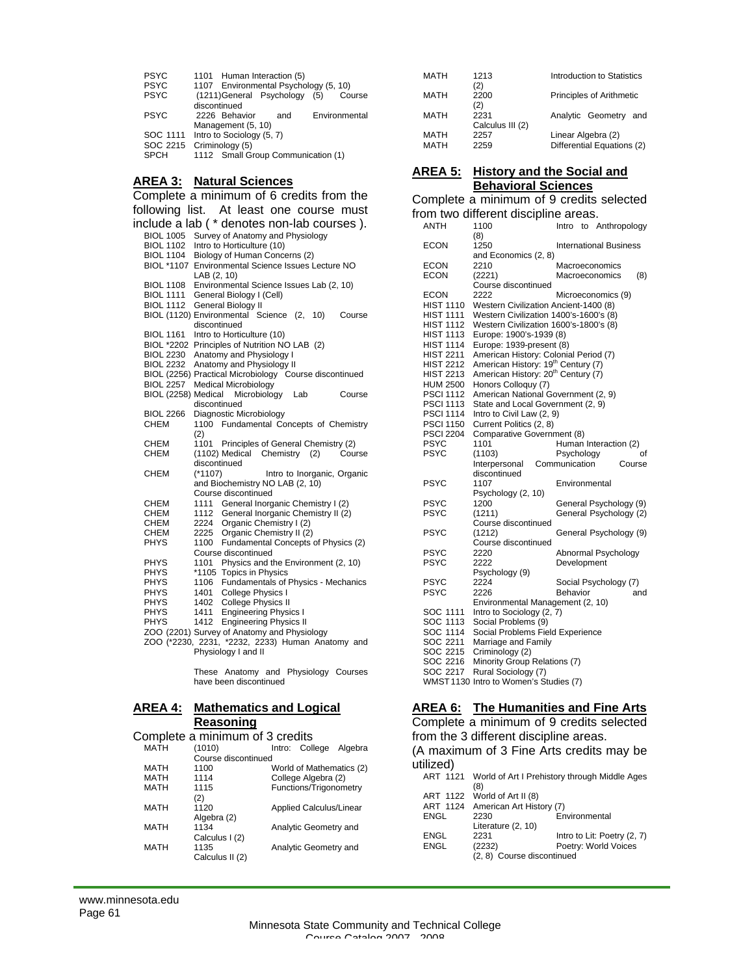| <b>PSYC</b><br>PSYC<br><b>PSYC</b><br><b>PSYC</b><br>SOC 1111<br>SOC 2215<br><b>SPCH</b> | 1101 Human Interaction (5)<br>1107 Environmental Psychology (5, 10)<br>(1211) General Psychology (5)<br>Course<br>discontinued<br>2226 Behavior<br>Environmental<br>and<br>Management (5, 10)<br>Intro to Sociology (5, 7)<br>Criminology (5)<br>1112 Small Group Communication (1) |
|------------------------------------------------------------------------------------------|-------------------------------------------------------------------------------------------------------------------------------------------------------------------------------------------------------------------------------------------------------------------------------------|
|                                                                                          | <b>AREA 3: Natural Sciences</b>                                                                                                                                                                                                                                                     |
|                                                                                          | Complete a minimum of 6 credits from the                                                                                                                                                                                                                                            |
|                                                                                          | following list. At least one course must                                                                                                                                                                                                                                            |
|                                                                                          | include a lab (* denotes non-lab courses).                                                                                                                                                                                                                                          |
|                                                                                          | BIOL 1005 Survey of Anatomy and Physiology                                                                                                                                                                                                                                          |
| <b>BIOL 1102</b>                                                                         | Intro to Horticulture (10)                                                                                                                                                                                                                                                          |
| <b>BIOL 1104</b>                                                                         | Biology of Human Concerns (2)                                                                                                                                                                                                                                                       |
|                                                                                          | BIOL *1107 Environmental Science Issues Lecture NO                                                                                                                                                                                                                                  |
| <b>BIOL 1108</b>                                                                         | LAB (2, 10)<br>Environmental Science Issues Lab (2, 10)                                                                                                                                                                                                                             |
| <b>BIOL 1111</b>                                                                         | General Biology I (Cell)                                                                                                                                                                                                                                                            |
| <b>BIOL 1112</b>                                                                         | General Biology II                                                                                                                                                                                                                                                                  |
|                                                                                          | BIOL (1120) Environmental Science (2, 10)<br>Course                                                                                                                                                                                                                                 |
| <b>BIOL 1161</b>                                                                         | discontinued<br>Intro to Horticulture (10)                                                                                                                                                                                                                                          |
|                                                                                          | BIOL *2202 Principles of Nutrition NO LAB (2)                                                                                                                                                                                                                                       |
|                                                                                          | BIOL 2230 Anatomy and Physiology I                                                                                                                                                                                                                                                  |
|                                                                                          | BIOL 2232 Anatomy and Physiology II                                                                                                                                                                                                                                                 |
| <b>BIOL 2257</b>                                                                         | BIOL (2256) Practical Microbiology Course discontinued<br><b>Medical Microbiology</b>                                                                                                                                                                                               |
| BIOL (2258) Medical                                                                      | Microbiology Lab<br>Course                                                                                                                                                                                                                                                          |
|                                                                                          | discontinued                                                                                                                                                                                                                                                                        |
| <b>BIOL 2266</b>                                                                         | Diagnostic Microbiology                                                                                                                                                                                                                                                             |
| CHEM                                                                                     | 1100 Fundamental Concepts of Chemistry                                                                                                                                                                                                                                              |
| CHEM                                                                                     | (2)<br>Principles of General Chemistry (2)<br>1101                                                                                                                                                                                                                                  |
| CHEM                                                                                     | (1102) Medical Chemistry (2)<br>Course                                                                                                                                                                                                                                              |
|                                                                                          | discontinued                                                                                                                                                                                                                                                                        |
| CHEM                                                                                     | (*1107)<br>Intro to Inorganic, Organic<br>and Biochemistry NO LAB (2, 10)                                                                                                                                                                                                           |
|                                                                                          | Course discontinued                                                                                                                                                                                                                                                                 |
| CHEM                                                                                     | 1111 General Inorganic Chemistry I (2)                                                                                                                                                                                                                                              |
| CHEM                                                                                     | 1112 General Inorganic Chemistry II (2)                                                                                                                                                                                                                                             |
| CHEM<br>CHEM                                                                             | 2224 Organic Chemistry I (2)<br>2225 Organic Chemistry II (2)                                                                                                                                                                                                                       |
| <b>PHYS</b>                                                                              | Fundamental Concepts of Physics (2)<br>1100                                                                                                                                                                                                                                         |
|                                                                                          | Course discontinued                                                                                                                                                                                                                                                                 |
| <b>PHYS</b>                                                                              | 1101 Physics and the Environment (2, 10)                                                                                                                                                                                                                                            |
| <b>PHYS</b><br><b>PHYS</b>                                                               | *1105 Topics in Physics<br>1106 Fundamentals of Physics - Mechanics                                                                                                                                                                                                                 |
| <b>PHYS</b>                                                                              | 1401<br>College Physics I                                                                                                                                                                                                                                                           |
| PHYS                                                                                     | 1402 College Physics II                                                                                                                                                                                                                                                             |
| PHYS                                                                                     | <b>Engineering Physics I</b><br>1411                                                                                                                                                                                                                                                |
| <b>PHYS</b>                                                                              | 1412<br><b>Engineering Physics II</b>                                                                                                                                                                                                                                               |

|  |  |  |  |  |  |  |  |  |  |  | ZOO (2201) Survey of Anatomy and Physiology |  |
|--|--|--|--|--|--|--|--|--|--|--|---------------------------------------------|--|
|  |  |  |  |  |  |  |  |  |  |  |                                             |  |

 ZOO (\*2230, 2231, \*2232, 2233) Human Anatomy and Physiology I and II

> These Anatomy and Physiology Courses have been discontinued

# **AREA 4: Mathematics and Logical**

### **Reasoning** Complete a minimum of 3 credits

|      | Complete a minimum or o credito |                                |         |
|------|---------------------------------|--------------------------------|---------|
| MATH | (1010)                          | Intro: College                 | Algebra |
|      | Course discontinued             |                                |         |
| MATH | 1100                            | World of Mathematics (2)       |         |
| MATH | 1114                            | College Algebra (2)            |         |
| MATH | 1115                            | Functions/Trigonometry         |         |
|      | (2)                             |                                |         |
| MATH | 1120                            | <b>Applied Calculus/Linear</b> |         |
|      | Algebra (2)                     |                                |         |
| MATH | 1134                            | Analytic Geometry and          |         |
|      | Calculus I (2)                  |                                |         |
| MATH | 1135                            | Analytic Geometry and          |         |
|      | Calculus II (2)                 |                                |         |
|      |                                 |                                |         |

| MATH                | 1213<br>(2)              | Introduction to Statistics                       |
|---------------------|--------------------------|--------------------------------------------------|
| MATH                | 2200<br>(2)              | Principles of Arithmetic                         |
| MATH                | 2231<br>Calculus III (2) | Analytic Geometry and                            |
| <b>MATH</b><br>MATH | 2257<br>2259             | Linear Algebra (2)<br>Differential Equations (2) |

### **AREA 5: History and the Social and Behavioral Sciences**

### Complete a minimum of 9 credits selected from two different discipline areas.

|                  | irom two different discipline areas.           |                    |  |                               |    |
|------------------|------------------------------------------------|--------------------|--|-------------------------------|----|
| <b>ANTH</b>      | 1100                                           | Intro              |  | to Anthropology               |    |
|                  | (8)                                            |                    |  |                               |    |
| ECON             | 1250                                           |                    |  | <b>International Business</b> |    |
|                  | and Economics (2, 8)                           |                    |  |                               |    |
|                  |                                                |                    |  |                               |    |
| ECON             | 2210                                           | Macroeconomics     |  |                               |    |
| <b>ECON</b>      | (2221)                                         | Macroeconomics     |  | (8)                           |    |
|                  | Course discontinued                            |                    |  |                               |    |
| <b>ECON</b>      | 2222                                           | Microeconomics (9) |  |                               |    |
| <b>HIST 1110</b> | Western Civilization Ancient-1400 (8)          |                    |  |                               |    |
| HIST 1111        | Western Civilization 1400's-1600's (8)         |                    |  |                               |    |
| <b>HIST 1112</b> | Western Civilization 1600's-1800's (8)         |                    |  |                               |    |
| <b>HIST 1113</b> | Europe: 1900's-1939 (8)                        |                    |  |                               |    |
|                  |                                                |                    |  |                               |    |
| <b>HIST 1114</b> | Europe: 1939-present (8)                       |                    |  |                               |    |
| <b>HIST 2211</b> | American History: Colonial Period (7)          |                    |  |                               |    |
| <b>HIST 2212</b> | American History: 19 <sup>th</sup> Century (7) |                    |  |                               |    |
| <b>HIST 2213</b> | American History: 20 <sup>th</sup> Century (7) |                    |  |                               |    |
| <b>HUM 2500</b>  | Honors Colloquy (7)                            |                    |  |                               |    |
| <b>PSCI 1112</b> | American National Government (2, 9)            |                    |  |                               |    |
| <b>PSCI 1113</b> | State and Local Government (2, 9)              |                    |  |                               |    |
| <b>PSCI 1114</b> | Intro to Civil Law (2, 9)                      |                    |  |                               |    |
|                  |                                                |                    |  |                               |    |
| <b>PSCI 1150</b> | Current Politics (2, 8)                        |                    |  |                               |    |
| <b>PSCI 2204</b> | Comparative Government (8)                     |                    |  |                               |    |
| PSYC             | 1101                                           |                    |  | Human Interaction (2)         |    |
| PSYC             | (1103)                                         | Psychology         |  |                               | οf |
|                  | Interpersonal                                  | Communication      |  | Course                        |    |
|                  | discontinued                                   |                    |  |                               |    |
| PSYC             | 1107                                           | Environmental      |  |                               |    |
|                  | Psychology (2, 10)                             |                    |  |                               |    |
| PSYC             | 1200                                           |                    |  |                               |    |
|                  |                                                |                    |  | General Psychology (9)        |    |
| <b>PSYC</b>      | (1211)                                         |                    |  | General Psychology (2)        |    |
|                  | Course discontinued                            |                    |  |                               |    |
| PSYC             | (1212)                                         |                    |  | General Psychology (9)        |    |
|                  | Course discontinued                            |                    |  |                               |    |
| <b>PSYC</b>      | 2220                                           |                    |  | Abnormal Psychology           |    |
|                  |                                                |                    |  |                               |    |
|                  |                                                |                    |  |                               |    |
| <b>PSYC</b>      | 2222                                           | Development        |  |                               |    |
|                  | Psychology (9)                                 |                    |  |                               |    |
| PSYC             | 2224                                           |                    |  | Social Psychology (7)         |    |
| PSYC             | 2226                                           | Behavior           |  | and                           |    |
|                  | Environmental Management (2, 10)               |                    |  |                               |    |
| SOC 1111         | Intro to Sociology (2, 7)                      |                    |  |                               |    |
| SOC 1113         | Social Problems (9)                            |                    |  |                               |    |
| SOC 1114         |                                                |                    |  |                               |    |
|                  | Social Problems Field Experience               |                    |  |                               |    |
| SOC 2211         | Marriage and Family                            |                    |  |                               |    |
| SOC 2215         | Criminology (2)                                |                    |  |                               |    |
| SOC 2216         | Minority Group Relations (7)                   |                    |  |                               |    |
| SOC 2217         | Rural Sociology (7)                            |                    |  |                               |    |
|                  | WMST 1130 Intro to Women's Studies (7)         |                    |  |                               |    |

## **AREA 6: The Humanities and Fine Arts**

 Complete a minimum of 9 credits selected from the 3 different discipline areas.

 (A maximum of 3 Fine Arts credits may be utilized)

|      | (8)                               | ART 1121 World of Art I Prehistory through Middle Ages |
|------|-----------------------------------|--------------------------------------------------------|
|      | ART 1122 World of Art II (8)      |                                                        |
|      | ART 1124 American Art History (7) |                                                        |
| ENGL | 2230                              | Environmental                                          |
|      | Literature (2, 10)                |                                                        |
| ENGL | 2231                              | Intro to Lit: Poetry (2, 7)                            |
| ENGL | (2232)                            | Poetry: World Voices                                   |
|      | (2, 8) Course discontinued        |                                                        |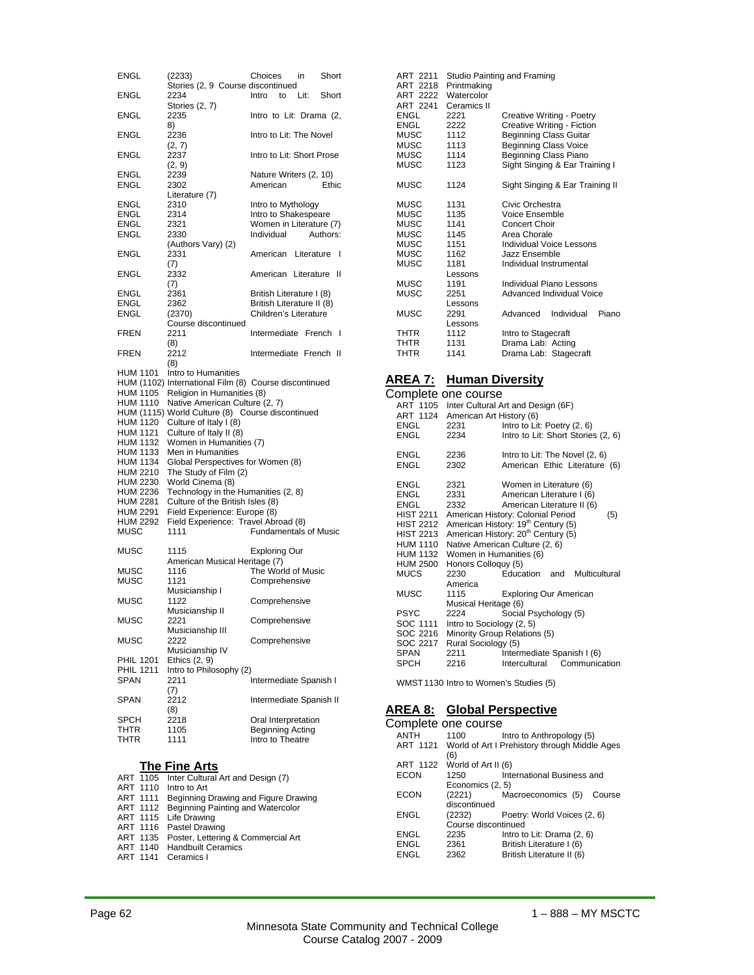| ENGL                        | (2233)                                                              | Choices<br>Short<br>in                      |
|-----------------------------|---------------------------------------------------------------------|---------------------------------------------|
| ENGL                        | Stories (2, 9 Course discontinued<br>2234<br>Stories (2, 7)         | Intro<br>to<br>Lit:<br>Short                |
| <b>ENGL</b>                 | 2235                                                                | Intro to Lit: Drama (2,                     |
| <b>ENGL</b>                 | 8)<br>2236                                                          | Intro to Lit: The Novel                     |
| ENGL                        | (2, 7)<br>2237<br>(2, 9)                                            | Intro to Lit: Short Prose                   |
| ENGL<br>ENGL                | 2239<br>2302                                                        | Nature Writers (2, 10)<br>American<br>Ethic |
| ENGL                        | Literature (7)<br>2310                                              | Intro to Mythology                          |
| ENGL                        | 2314                                                                | Intro to Shakespeare                        |
| ENGL                        | 2321                                                                | Women in Literature (7)                     |
| ENGL                        | 2330<br>(Authors Vary) (2)                                          | Individual<br>Authors:                      |
| ENGL                        | 2331<br>(7)                                                         | American Literature<br>I                    |
| <b>ENGL</b>                 | 2332<br>(7)                                                         | American Literature<br>Ш                    |
| ENGL                        | 2361                                                                | British Literature I (8)                    |
| ENGL                        | 2362                                                                | British Literature II (8)                   |
| ENGL                        | (2370)                                                              | Children's Literature                       |
| <b>FREN</b>                 | Course discontinued<br>2211                                         | Intermediate French I                       |
|                             | (8)                                                                 |                                             |
| FREN                        | 2212<br>(8)                                                         | Intermediate French II                      |
| HUM 1101                    | Intro to Humanities                                                 |                                             |
|                             | HUM (1102) International Film (8) Course discontinued               |                                             |
| <b>HUM 1105</b>             | Religion in Humanities (8)                                          |                                             |
| HUM 1110                    | Native American Culture (2, 7)                                      |                                             |
|                             | HUM (1115) World Culture (8) Course discontinued                    |                                             |
| HUM 1120                    | Culture of Italy I (8)                                              |                                             |
| HUM 1121<br>HUM 1132        | Culture of Italy II (8)<br>Women in Humanities (7)                  |                                             |
| HUM 1133                    | Men in Humanities                                                   |                                             |
| HUM 1134                    | Global Perspectives for Women (8)                                   |                                             |
| HUM 2210                    | The Study of Film (2)                                               |                                             |
| HUM 2230                    | World Cinema (8)                                                    |                                             |
| <b>HUM 2236</b>             | Technology in the Humanities (2, 8)                                 |                                             |
| HUM 2281<br><b>HUM 2291</b> | Culture of the British Isles (8)                                    |                                             |
| <b>HUM 2292</b>             | Field Experience: Europe (8)<br>Field Experience: Travel Abroad (8) |                                             |
| MUSC                        | 1111                                                                | <b>Fundamentals of Music</b>                |
| MUSC                        | 1115                                                                | <b>Exploring Our</b>                        |
|                             | American Musical Heritage (7)                                       |                                             |
| MUSC<br>MUSC                | 1116<br>1121                                                        | The World of Music<br>Comprehensive         |
|                             | Musicianship I                                                      |                                             |
| MUSC                        | 1122                                                                | Comprehensive                               |
| <b>MUSC</b>                 | Musicianship II<br>2221                                             | Comprehensive                               |
| MUSC                        | Musicianship III<br>2222                                            | Comprehensive                               |
| <b>PHIL 1201</b>            | Musicianship IV                                                     |                                             |
| <b>PHIL 1211</b>            | Ethics $(2, 9)$<br>Intro to Philosophy (2)                          |                                             |
| <b>SPAN</b>                 | 2211                                                                | Intermediate Spanish I                      |
|                             | (7)                                                                 |                                             |
| <b>SPAN</b>                 | 2212<br>(8)                                                         | Intermediate Spanish II                     |
| SPCH                        | 2218                                                                | Oral Interpretation                         |
| THTR                        | 1105                                                                | <b>Beginning Acting</b>                     |
| THTR                        | 1111                                                                | Intro to Theatre                            |
|                             |                                                                     |                                             |
|                             | The Fine Arts                                                       |                                             |

#### ART 2218 Printmaking ART 2222 Watercolor ART 2241 Ceramics II<br>ENGL 2221 ENGL 2221 Creative Writing - Poetry<br>ENGL 2222 Creative Writing - Fiction ENGL 2222 Creative Writing - Fiction<br>MUSC 1112 Beginning Class Guitar 1112 Beginning Class Guitar MUSC 1113 Beginning Class Voice<br>MUSC 1114 Beginning Class Piano MUSC 1114 Beginning Class Piano<br>MUSC 1123 Sight Singing & Ear Tra Sight Singing & Ear Training I MUSC 1124 Sight Singing & Ear Training II 1131 MUSC 1131 Civic Orchestra<br>MUSC 1135 Voice Ensemble MUSC 1135 Voice Ensemble<br>MUSC 1141 Concert Choir MUSC 1141 Concert Choir<br>MUSC 1145 Area Chorale MUSC 1145 Area Chorale<br>MUSC 1151 Individual Voi MUSC 1151 Individual Voice Lessons<br>MUSC 1162 Jazz Ensemble MUSC 1162 Jazz Ensemble<br>MUSC 1181 Individual Instru Individual Instrumental Lessons<br>1191 MUSC 1191 Individual Piano Lessons<br>MUSC 2251 Advanced Individual Voic Advanced Individual Voice Lessons<br>2291 MUSC 2291 Advanced Individual Piano Lessons THTR 1112 Intro to Stagecraft<br>THTR 1131 Drama Lab: Acting Drama Lab: Acting THTR 1141 Drama Lab: Stagecraft

ART 2211 Studio Painting and Framing

## **AREA 7: Human Diversity**

|                  | Complete one course               |                                                          |                                    |  |  |  |
|------------------|-----------------------------------|----------------------------------------------------------|------------------------------------|--|--|--|
|                  |                                   | ART 1105 Inter Cultural Art and Design (6F)              |                                    |  |  |  |
|                  | ART 1124 American Art History (6) |                                                          |                                    |  |  |  |
|                  | ENGL 2231                         | Intro to Lit: Poetry (2, 6)                              |                                    |  |  |  |
| ENGL             | 2234                              |                                                          | Intro to Lit: Short Stories (2, 6) |  |  |  |
| ENGL             | 2236                              |                                                          | Intro to Lit: The Novel (2, 6)     |  |  |  |
| ENGL             | 2302                              |                                                          | American Ethic Literature (6)      |  |  |  |
| ENGL             | 2321<br>2331                      | Women in Literature (6)                                  |                                    |  |  |  |
| ENGL             |                                   | American Literature I (6)                                |                                    |  |  |  |
| ENGL             | 2332                              | American Literature II (6)                               |                                    |  |  |  |
|                  |                                   | HIST 2211 American History: Colonial Period              | (5)                                |  |  |  |
|                  |                                   | HIST 2212 American History: 19 <sup>th</sup> Century (5) |                                    |  |  |  |
| <b>HIST 2213</b> |                                   | American History: 20 <sup>th</sup> Century (5)           |                                    |  |  |  |
|                  |                                   | HUM 1110 Native American Culture (2, 6)                  |                                    |  |  |  |
|                  | HUM 1132 Women in Humanities (6)  |                                                          |                                    |  |  |  |
| <b>HUM 2500</b>  | Honors Colloquy (5)               |                                                          |                                    |  |  |  |
| MUCS             | 2230                              | Education and                                            | Multicultural                      |  |  |  |
|                  | America                           |                                                          |                                    |  |  |  |
| MUSC             | 1115                              | <b>Exploring Our American</b>                            |                                    |  |  |  |
|                  | Musical Heritage (6)              |                                                          |                                    |  |  |  |
| <b>PSYC</b>      | 2224                              | Social Psychology (5)                                    |                                    |  |  |  |
| SOC 1111         | Intro to Sociology (2, 5)         |                                                          |                                    |  |  |  |
| SOC 2216         |                                   | Minority Group Relations (5)                             |                                    |  |  |  |
| SOC 2217         | Rural Sociology (5)               |                                                          |                                    |  |  |  |
| SPAN             | 2211                              | Intermediate Spanish I (6)                               |                                    |  |  |  |
| SPCH             | 2216                              |                                                          | Intercultural Communication        |  |  |  |
|                  |                                   |                                                          |                                    |  |  |  |

WMST 1130 Intro to Women's Studies (5)

## **AREA 8: Global Perspective**

|             | Complete one course          |                                                        |
|-------------|------------------------------|--------------------------------------------------------|
| <b>ANTH</b> | 1100                         | Intro to Anthropology (5)                              |
|             | (6)                          | ART 1121 World of Art I Prehistory through Middle Ages |
|             | ART 1122 World of Art II (6) |                                                        |
| <b>FCON</b> | 1250                         | International Business and                             |
|             | Economics (2, 5)             |                                                        |
| <b>FCON</b> | (2221)                       | Macroeconomics (5)<br>Course                           |
|             | discontinued                 |                                                        |
| FNGL        | (2232)                       | Poetry: World Voices (2, 6)                            |
|             | Course discontinued          |                                                        |
| ENGL        | 2235                         | Intro to Lit: Drama (2, 6)                             |
| ENGL        | 2361                         | British Literature I (6)                               |
| ENGL        | 2362                         | British Literature II (6)                              |
|             |                              |                                                        |

### **The Fine Arts**

- ART 1105 Inter Cultural Art and Design (7)
- ART 1110 Intro to Art<br>ART 1111 Beginning I ART 1111 Beginning Drawing and Figure Drawing ART 1112 Beginning Painting and Watercolor
	- ART 1115 Life Drawing
	- ART 1116 Pastel Drawing
	- ART 1135 Poster, Lettering & Commercial Art
	- ART 1140 Handbuilt Ceramics
	- ART 1141 Ceramics I